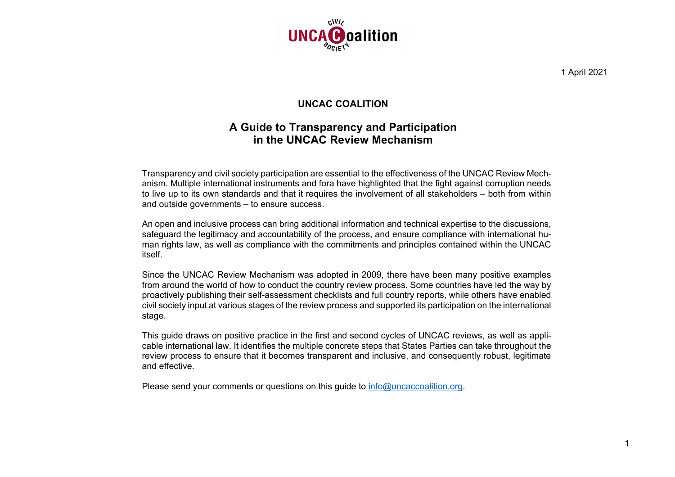

1 April 2021

## **UNCAC COALITION**

## **A Guide to Transparency and Participation in the UNCAC Review Mechanism**

Transparency and civil society participation are essential to the effectiveness of the UNCAC Review Mechanism. Multiple international instruments and fora have highlighted that the fight against corruption needs to live up to its own standards and that it requires the involvement of all stakeholders – both from within and outside governments – to ensure success.

An open and inclusive process can bring additional information and technical expertise to the discussions, safeguard the legitimacy and accountability of the process, and ensure compliance with international human rights law, as well as compliance with the commitments and principles contained within the UNCAC itself.

Since the UNCAC Review Mechanism was adopted in 2009, there have been many positive examples from around the world of how to conduct the country review process. Some countries have led the way by proactively publishing their self-assessment checklists and full country reports, while others have enabled civil society input at various stages of the review process and supported its participation on the international stage.

This guide draws on positive practice in the first and second cycles of UNCAC reviews, as well as applicable international law. It identifies the multiple concrete steps that States Parties can take throughout the review process to ensure that it becomes transparent and inclusive, and consequently robust, legitimate and effective.

Please send your comments or questions on this quide to info@uncaccoalition.org.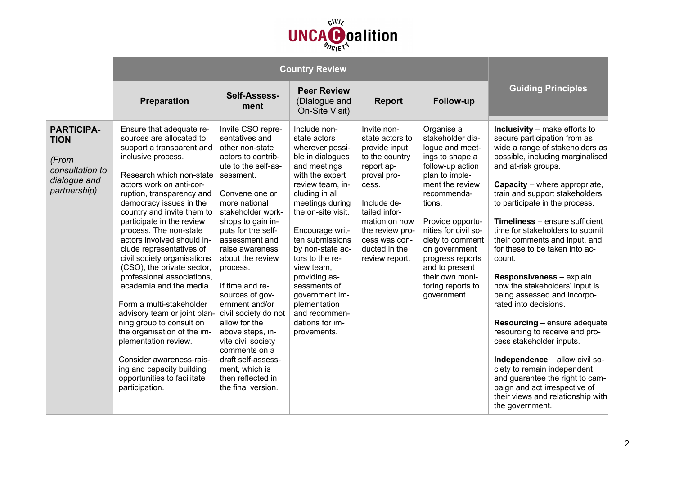

|                                                                                              | <b>Preparation</b>                                                                                                                                                                                                                                                                                                                                                                                                                                                                                                                                                                                                                                                                                                                                    | Self-Assess-<br>ment                                                                                                                                                                                                                                                                                                                                                                                                                                                                                                                    | <b>Peer Review</b><br>(Dialogue and<br>On-Site Visit)                                                                                                                                                                                                                                                                                                                                                  | <b>Report</b>                                                                                                                                                                                                                   | Follow-up                                                                                                                                                                                                                                                                                                                            | <b>Guiding Principles</b>                                                                                                                                                                                                                                                                                                                                                                                                                                                                                                                                                                                                                                                                                                                                                                                                                                |
|----------------------------------------------------------------------------------------------|-------------------------------------------------------------------------------------------------------------------------------------------------------------------------------------------------------------------------------------------------------------------------------------------------------------------------------------------------------------------------------------------------------------------------------------------------------------------------------------------------------------------------------------------------------------------------------------------------------------------------------------------------------------------------------------------------------------------------------------------------------|-----------------------------------------------------------------------------------------------------------------------------------------------------------------------------------------------------------------------------------------------------------------------------------------------------------------------------------------------------------------------------------------------------------------------------------------------------------------------------------------------------------------------------------------|--------------------------------------------------------------------------------------------------------------------------------------------------------------------------------------------------------------------------------------------------------------------------------------------------------------------------------------------------------------------------------------------------------|---------------------------------------------------------------------------------------------------------------------------------------------------------------------------------------------------------------------------------|--------------------------------------------------------------------------------------------------------------------------------------------------------------------------------------------------------------------------------------------------------------------------------------------------------------------------------------|----------------------------------------------------------------------------------------------------------------------------------------------------------------------------------------------------------------------------------------------------------------------------------------------------------------------------------------------------------------------------------------------------------------------------------------------------------------------------------------------------------------------------------------------------------------------------------------------------------------------------------------------------------------------------------------------------------------------------------------------------------------------------------------------------------------------------------------------------------|
| <b>PARTICIPA-</b><br><b>TION</b><br>(From<br>consultation to<br>dialogue and<br>partnership) | Ensure that adequate re-<br>sources are allocated to<br>support a transparent and<br>inclusive process.<br>Research which non-state<br>actors work on anti-cor-<br>ruption, transparency and<br>democracy issues in the<br>country and invite them to<br>participate in the review<br>process. The non-state<br>actors involved should in-<br>clude representatives of<br>civil society organisations<br>(CSO), the private sector,<br>professional associations,<br>academia and the media.<br>Form a multi-stakeholder<br>advisory team or joint plan-<br>ning group to consult on<br>the organisation of the im-<br>plementation review.<br>Consider awareness-rais-<br>ing and capacity building<br>opportunities to facilitate<br>participation. | Invite CSO repre-<br>sentatives and<br>other non-state<br>actors to contrib-<br>ute to the self-as-<br>sessment.<br>Convene one or<br>more national<br>stakeholder work-<br>shops to gain in-<br>puts for the self-<br>assessment and<br>raise awareness<br>about the review<br>process.<br>If time and re-<br>sources of gov-<br>ernment and/or<br>civil society do not<br>allow for the<br>above steps, in-<br>vite civil society<br>comments on a<br>draft self-assess-<br>ment, which is<br>then reflected in<br>the final version. | Include non-<br>state actors<br>wherever possi-<br>ble in dialogues<br>and meetings<br>with the expert<br>review team, in-<br>cluding in all<br>meetings during<br>the on-site visit.<br>Encourage writ-<br>ten submissions<br>by non-state ac-<br>tors to the re-<br>view team,<br>providing as-<br>sessments of<br>government im-<br>plementation<br>and recommen-<br>dations for im-<br>provements. | Invite non-<br>state actors to<br>provide input<br>to the country<br>report ap-<br>proval pro-<br>cess.<br>Include de-<br>tailed infor-<br>mation on how<br>the review pro-<br>cess was con-<br>ducted in the<br>review report. | Organise a<br>stakeholder dia-<br>logue and meet-<br>ings to shape a<br>follow-up action<br>plan to imple-<br>ment the review<br>recommenda-<br>tions.<br>Provide opportu-<br>nities for civil so-<br>ciety to comment<br>on government<br>progress reports<br>and to present<br>their own moni-<br>toring reports to<br>government. | Inclusivity - make efforts to<br>secure participation from as<br>wide a range of stakeholders as<br>possible, including marginalised<br>and at-risk groups.<br><b>Capacity</b> – where appropriate,<br>train and support stakeholders<br>to participate in the process.<br><b>Timeliness</b> – ensure sufficient<br>time for stakeholders to submit<br>their comments and input, and<br>for these to be taken into ac-<br>count.<br>Responsiveness - explain<br>how the stakeholders' input is<br>being assessed and incorpo-<br>rated into decisions.<br><b>Resourcing</b> – ensure adequate<br>resourcing to receive and pro-<br>cess stakeholder inputs.<br>Independence - allow civil so-<br>ciety to remain independent<br>and guarantee the right to cam-<br>paign and act irrespective of<br>their views and relationship with<br>the government. |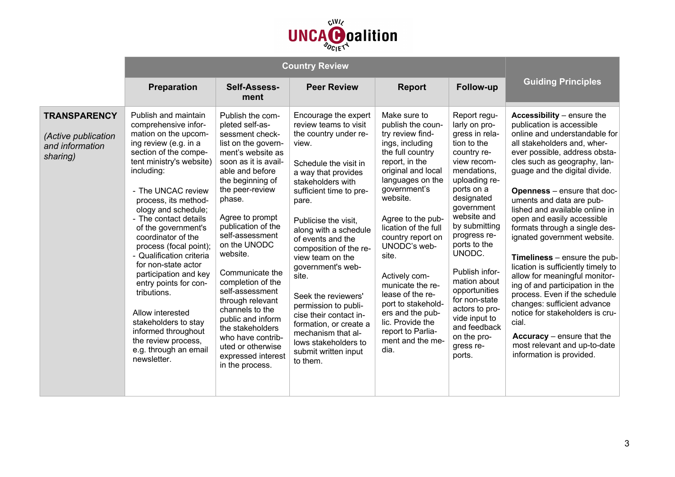

|                                                                           | <b>Preparation</b>                                                                                                                                                                                                                                                                                                                                                                                                                                                                                                                                                                          | Self-Assess-<br>ment                                                                                                                                                                                                                                                                                                                                                                                                                                                                                                 | <b>Peer Review</b>                                                                                                                                                                                                                                                                                                                                                                                                                                                                                                              | <b>Report</b>                                                                                                                                                                                                                                                                                                                                                                                                                                           | <b>Follow-up</b>                                                                                                                                                                                                                                                                                                                                                                                              | <b>Guiding Principles</b>                                                                                                                                                                                                                                                                                                                                                                                                                                                                                                                                                                                                                                                                                                                                                              |
|---------------------------------------------------------------------------|---------------------------------------------------------------------------------------------------------------------------------------------------------------------------------------------------------------------------------------------------------------------------------------------------------------------------------------------------------------------------------------------------------------------------------------------------------------------------------------------------------------------------------------------------------------------------------------------|----------------------------------------------------------------------------------------------------------------------------------------------------------------------------------------------------------------------------------------------------------------------------------------------------------------------------------------------------------------------------------------------------------------------------------------------------------------------------------------------------------------------|---------------------------------------------------------------------------------------------------------------------------------------------------------------------------------------------------------------------------------------------------------------------------------------------------------------------------------------------------------------------------------------------------------------------------------------------------------------------------------------------------------------------------------|---------------------------------------------------------------------------------------------------------------------------------------------------------------------------------------------------------------------------------------------------------------------------------------------------------------------------------------------------------------------------------------------------------------------------------------------------------|---------------------------------------------------------------------------------------------------------------------------------------------------------------------------------------------------------------------------------------------------------------------------------------------------------------------------------------------------------------------------------------------------------------|----------------------------------------------------------------------------------------------------------------------------------------------------------------------------------------------------------------------------------------------------------------------------------------------------------------------------------------------------------------------------------------------------------------------------------------------------------------------------------------------------------------------------------------------------------------------------------------------------------------------------------------------------------------------------------------------------------------------------------------------------------------------------------------|
| <b>TRANSPARENCY</b><br>(Active publication<br>and information<br>sharing) | Publish and maintain<br>comprehensive infor-<br>mation on the upcom-<br>ing review (e.g. in a<br>section of the compe-<br>tent ministry's website)<br>including:<br>- The UNCAC review<br>process, its method-<br>ology and schedule;<br>- The contact details<br>of the government's<br>coordinator of the<br>process (focal point);<br>- Qualification criteria<br>for non-state actor<br>participation and key<br>entry points for con-<br>tributions.<br>Allow interested<br>stakeholders to stay<br>informed throughout<br>the review process,<br>e.g. through an email<br>newsletter. | Publish the com-<br>pleted self-as-<br>sessment check-<br>list on the govern-<br>ment's website as<br>soon as it is avail-<br>able and before<br>the beginning of<br>the peer-review<br>phase.<br>Agree to prompt<br>publication of the<br>self-assessment<br>on the UNODC<br>website.<br>Communicate the<br>completion of the<br>self-assessment<br>through relevant<br>channels to the<br>public and inform<br>the stakeholders<br>who have contrib-<br>uted or otherwise<br>expressed interest<br>in the process. | Encourage the expert<br>review teams to visit<br>the country under re-<br>view.<br>Schedule the visit in<br>a way that provides<br>stakeholders with<br>sufficient time to pre-<br>pare.<br>Publicise the visit.<br>along with a schedule<br>of events and the<br>composition of the re-<br>view team on the<br>government's web-<br>site.<br>Seek the reviewers'<br>permission to publi-<br>cise their contact in-<br>formation, or create a<br>mechanism that al-<br>lows stakeholders to<br>submit written input<br>to them. | Make sure to<br>publish the coun-<br>try review find-<br>ings, including<br>the full country<br>report, in the<br>original and local<br>languages on the<br>government's<br>website.<br>Agree to the pub-<br>lication of the full<br>country report on<br>UNODC's web-<br>site.<br>Actively com-<br>municate the re-<br>lease of the re-<br>port to stakehold-<br>ers and the pub-<br>lic. Provide the<br>report to Parlia-<br>ment and the me-<br>dia. | Report regu-<br>larly on pro-<br>gress in rela-<br>tion to the<br>country re-<br>view recom-<br>mendations,<br>uploading re-<br>ports on a<br>designated<br>government<br>website and<br>by submitting<br>progress re-<br>ports to the<br>UNODC.<br>Publish infor-<br>mation about<br>opportunities<br>for non-state<br>actors to pro-<br>vide input to<br>and feedback<br>on the pro-<br>gress re-<br>ports. | Accessibility - ensure the<br>publication is accessible<br>online and understandable for<br>all stakeholders and, wher-<br>ever possible, address obsta-<br>cles such as geography, lan-<br>guage and the digital divide.<br><b>Openness</b> - ensure that doc-<br>uments and data are pub-<br>lished and available online in<br>open and easily accessible<br>formats through a single des-<br>ignated government website.<br><b>Timeliness</b> $-$ ensure the pub-<br>lication is sufficiently timely to<br>allow for meaningful monitor-<br>ing of and participation in the<br>process. Even if the schedule<br>changes: sufficient advance<br>notice for stakeholders is cru-<br>cial.<br>Accuracy $-$ ensure that the<br>most relevant and up-to-date<br>information is provided. |